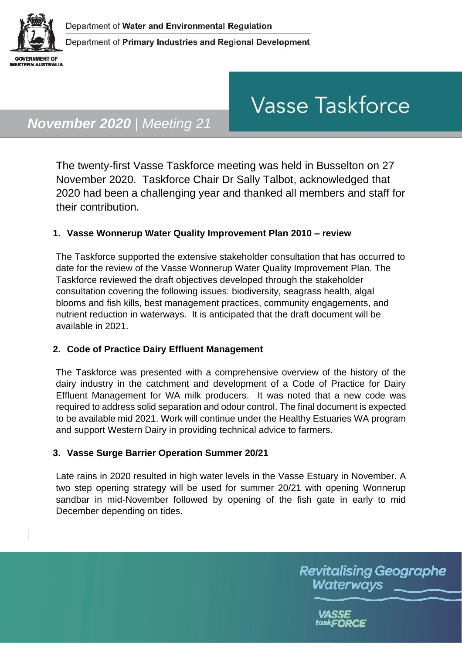

# **Vasse Taskforce**

## *November 2020 | Meeting 21*

The twenty-first Vasse Taskforce meeting was held in Busselton on 27 November 2020. Taskforce Chair Dr Sally Talbot, acknowledged that 2020 had been a challenging year and thanked all members and staff for their contribution.

#### **1. Vasse Wonnerup Water Quality Improvement Plan 2010 – review**

The Taskforce supported the extensive stakeholder consultation that has occurred to date for the review of the Vasse Wonnerup Water Quality Improvement Plan. The Taskforce reviewed the draft objectives developed through the stakeholder consultation covering the following issues: biodiversity, seagrass health, algal blooms and fish kills, best management practices, community engagements, and nutrient reduction in waterways. It is anticipated that the draft document will be available in 2021.

#### **2. Code of Practice Dairy Effluent Management**

The Taskforce was presented with a comprehensive overview of the history of the dairy industry in the catchment and development of a Code of Practice for Dairy Effluent Management for WA milk producers. It was noted that a new code was required to address solid separation and odour control. The final document is expected to be available mid 2021. Work will continue under the Healthy Estuaries WA program and support Western Dairy in providing technical advice to farmers.

#### **3. Vasse Surge Barrier Operation Summer 20/21**

Late rains in 2020 resulted in high water levels in the Vasse Estuary in November. A two step opening strategy will be used for summer 20/21 with opening Wonnerup sandbar in mid-November followed by opening of the fish gate in early to mid December depending on tides.

> **Revitalising Geographe** Waterways

> > task**FORCE**